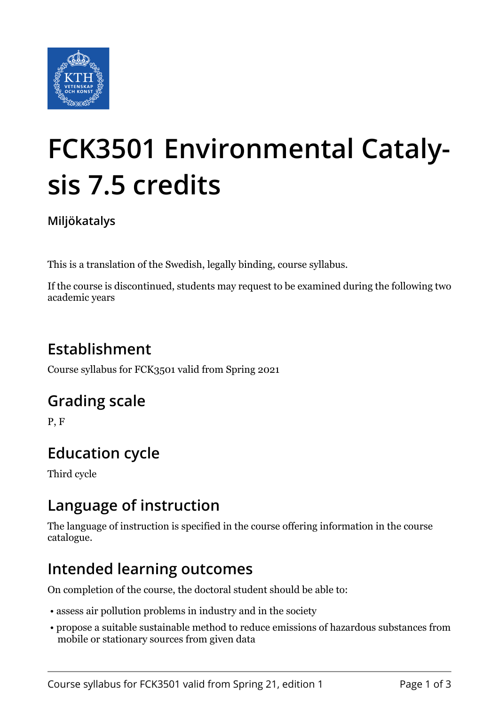

# **FCK3501 Environmental Catalysis 7.5 credits**

**Miljökatalys**

This is a translation of the Swedish, legally binding, course syllabus.

If the course is discontinued, students may request to be examined during the following two academic years

# **Establishment**

Course syllabus for FCK3501 valid from Spring 2021

## **Grading scale**

P, F

# **Education cycle**

Third cycle

## **Language of instruction**

The language of instruction is specified in the course offering information in the course catalogue.

## **Intended learning outcomes**

On completion of the course, the doctoral student should be able to:

- assess air pollution problems in industry and in the society
- propose a suitable sustainable method to reduce emissions of hazardous substances from mobile or stationary sources from given data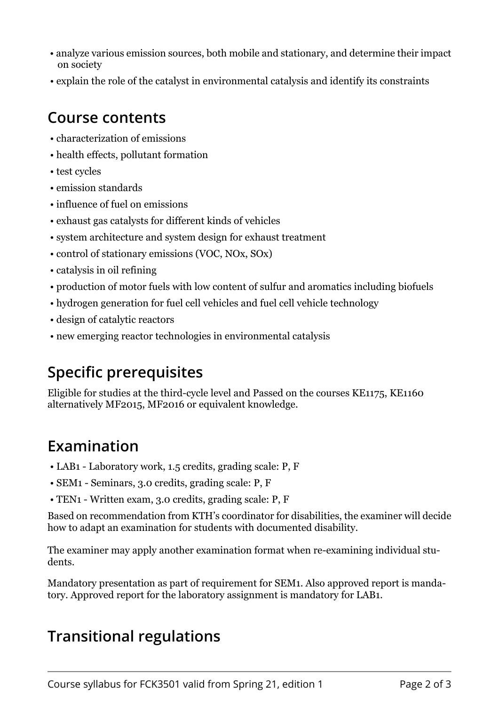- analyze various emission sources, both mobile and stationary, and determine their impact on society
- explain the role of the catalyst in environmental catalysis and identify its constraints

#### **Course contents**

- characterization of emissions
- health effects, pollutant formation
- test cycles
- emission standards
- influence of fuel on emissions
- exhaust gas catalysts for different kinds of vehicles
- system architecture and system design for exhaust treatment
- control of stationary emissions (VOC, NOx, SOx)
- catalysis in oil refining
- production of motor fuels with low content of sulfur and aromatics including biofuels
- hydrogen generation for fuel cell vehicles and fuel cell vehicle technology
- design of catalytic reactors
- new emerging reactor technologies in environmental catalysis

## **Specific prerequisites**

Eligible for studies at the third-cycle level and Passed on the courses KE1175, KE1160 alternatively MF2015, MF2016 or equivalent knowledge.

## **Examination**

- LAB1 Laboratory work, 1.5 credits, grading scale: P, F
- SEM1 Seminars, 3.0 credits, grading scale: P, F
- TEN1 Written exam, 3.0 credits, grading scale: P, F

Based on recommendation from KTH's coordinator for disabilities, the examiner will decide how to adapt an examination for students with documented disability.

The examiner may apply another examination format when re-examining individual students.

Mandatory presentation as part of requirement for SEM1. Also approved report is mandatory. Approved report for the laboratory assignment is mandatory for LAB1.

## **Transitional regulations**